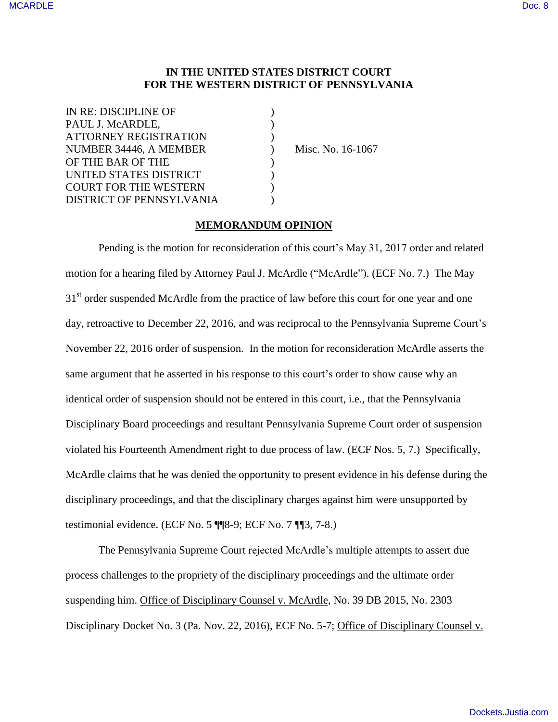# **IN THE UNITED STATES DISTRICT COURT FOR THE WESTERN DISTRICT OF PENNSYLVANIA**

| IN RE: DISCIPLINE OF         |  |
|------------------------------|--|
| PAUL J. McARDLE,             |  |
| <b>ATTORNEY REGISTRATION</b> |  |
| NUMBER 34446, A MEMBER       |  |
| OF THE BAR OF THE            |  |
| UNITED STATES DISTRICT       |  |
| <b>COURT FOR THE WESTERN</b> |  |
| DISTRICT OF PENNSYLVANIA     |  |

)<br>
Misc. No. 16-1067

# **MEMORANDUM OPINION**

Pending is the motion for reconsideration of this court's May 31, 2017 order and related motion for a hearing filed by Attorney Paul J. McArdle ("McArdle"). (ECF No. 7.) The May 31<sup>st</sup> order suspended McArdle from the practice of law before this court for one year and one day, retroactive to December 22, 2016, and was reciprocal to the Pennsylvania Supreme Court's November 22, 2016 order of suspension. In the motion for reconsideration McArdle asserts the same argument that he asserted in his response to this court's order to show cause why an identical order of suspension should not be entered in this court, i.e., that the Pennsylvania Disciplinary Board proceedings and resultant Pennsylvania Supreme Court order of suspension violated his Fourteenth Amendment right to due process of law. (ECF Nos. 5, 7.) Specifically, McArdle claims that he was denied the opportunity to present evidence in his defense during the disciplinary proceedings, and that the disciplinary charges against him were unsupported by testimonial evidence. (ECF No. 5 ¶¶8-9; ECF No. 7 ¶¶3, 7-8.)

The Pennsylvania Supreme Court rejected McArdle's multiple attempts to assert due process challenges to the propriety of the disciplinary proceedings and the ultimate order suspending him. Office of Disciplinary Counsel v. McArdle, No. 39 DB 2015, No. 2303 Disciplinary Docket No. 3 (Pa. Nov. 22, 2016), ECF No. 5-7; Office of Disciplinary Counsel v.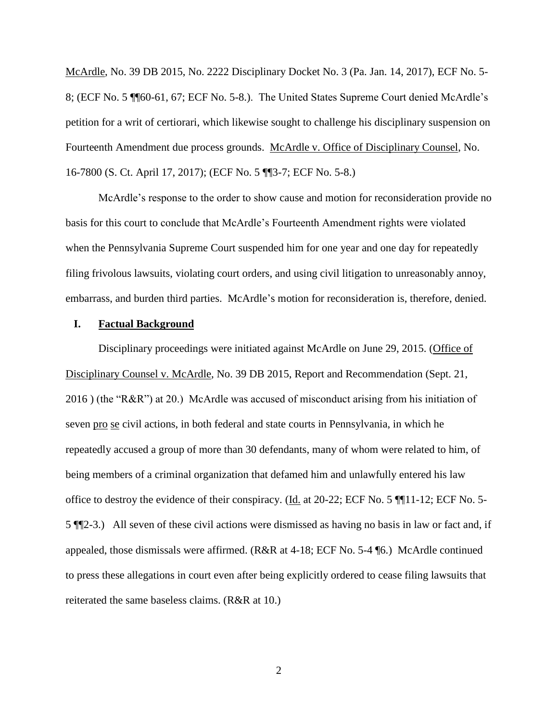McArdle, No. 39 DB 2015, No. 2222 Disciplinary Docket No. 3 (Pa. Jan. 14, 2017), ECF No. 5- 8; (ECF No. 5 ¶¶60-61, 67; ECF No. 5-8.). The United States Supreme Court denied McArdle's petition for a writ of certiorari, which likewise sought to challenge his disciplinary suspension on Fourteenth Amendment due process grounds. McArdle v. Office of Disciplinary Counsel, No. 16-7800 (S. Ct. April 17, 2017); (ECF No. 5 ¶¶3-7; ECF No. 5-8.)

McArdle's response to the order to show cause and motion for reconsideration provide no basis for this court to conclude that McArdle's Fourteenth Amendment rights were violated when the Pennsylvania Supreme Court suspended him for one year and one day for repeatedly filing frivolous lawsuits, violating court orders, and using civil litigation to unreasonably annoy, embarrass, and burden third parties. McArdle's motion for reconsideration is, therefore, denied.

#### **I. Factual Background**

Disciplinary proceedings were initiated against McArdle on June 29, 2015. (Office of Disciplinary Counsel v. McArdle, No. 39 DB 2015, Report and Recommendation (Sept. 21, 2016 ) (the "R&R") at 20.) McArdle was accused of misconduct arising from his initiation of seven pro se civil actions, in both federal and state courts in Pennsylvania, in which he repeatedly accused a group of more than 30 defendants, many of whom were related to him, of being members of a criminal organization that defamed him and unlawfully entered his law office to destroy the evidence of their conspiracy. (Id. at 20-22; ECF No. 5 ¶¶11-12; ECF No. 5- 5 ¶¶2-3.) All seven of these civil actions were dismissed as having no basis in law or fact and, if appealed, those dismissals were affirmed. (R&R at 4-18; ECF No. 5-4 ¶6.) McArdle continued to press these allegations in court even after being explicitly ordered to cease filing lawsuits that reiterated the same baseless claims. (R&R at 10.)

2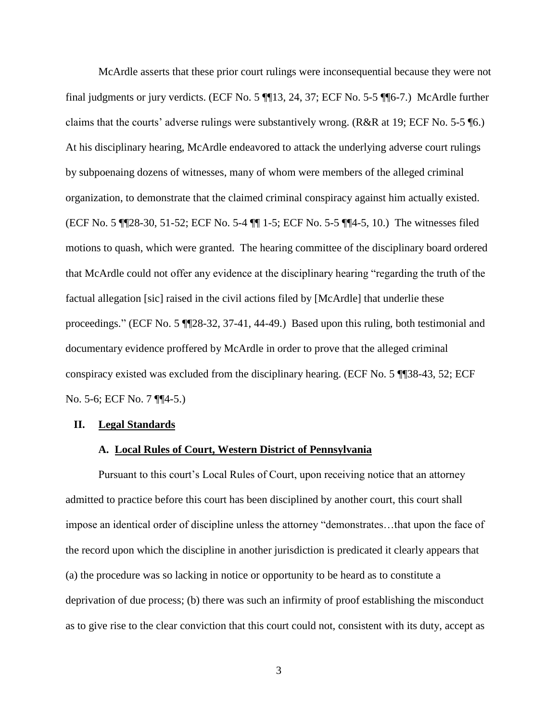McArdle asserts that these prior court rulings were inconsequential because they were not final judgments or jury verdicts. (ECF No. 5 ¶¶13, 24, 37; ECF No. 5-5 ¶¶6-7.) McArdle further claims that the courts' adverse rulings were substantively wrong. (R&R at 19; ECF No. 5-5 ¶6.) At his disciplinary hearing, McArdle endeavored to attack the underlying adverse court rulings by subpoenaing dozens of witnesses, many of whom were members of the alleged criminal organization, to demonstrate that the claimed criminal conspiracy against him actually existed. (ECF No. 5 ¶¶28-30, 51-52; ECF No. 5-4 ¶¶ 1-5; ECF No. 5-5 ¶¶4-5, 10.) The witnesses filed motions to quash, which were granted. The hearing committee of the disciplinary board ordered that McArdle could not offer any evidence at the disciplinary hearing "regarding the truth of the factual allegation [sic] raised in the civil actions filed by [McArdle] that underlie these proceedings." (ECF No. 5 ¶¶28-32, 37-41, 44-49.) Based upon this ruling, both testimonial and documentary evidence proffered by McArdle in order to prove that the alleged criminal conspiracy existed was excluded from the disciplinary hearing. (ECF No. 5 ¶¶38-43, 52; ECF No. 5-6; ECF No. 7 ¶¶4-5.)

#### **II. Legal Standards**

#### **A. Local Rules of Court, Western District of Pennsylvania**

Pursuant to this court's Local Rules of Court, upon receiving notice that an attorney admitted to practice before this court has been disciplined by another court, this court shall impose an identical order of discipline unless the attorney "demonstrates…that upon the face of the record upon which the discipline in another jurisdiction is predicated it clearly appears that (a) the procedure was so lacking in notice or opportunity to be heard as to constitute a deprivation of due process; (b) there was such an infirmity of proof establishing the misconduct as to give rise to the clear conviction that this court could not, consistent with its duty, accept as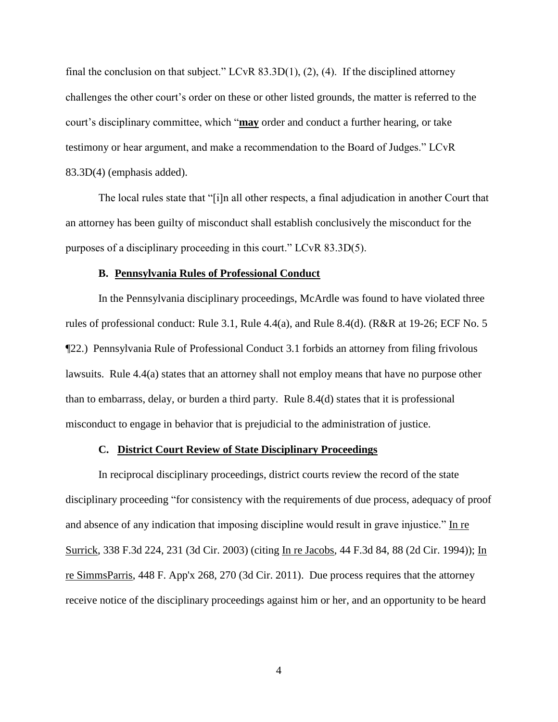final the conclusion on that subject." LCvR 83.3D(1), (2), (4). If the disciplined attorney challenges the other court's order on these or other listed grounds, the matter is referred to the court's disciplinary committee, which "**may** order and conduct a further hearing, or take testimony or hear argument, and make a recommendation to the Board of Judges." LCvR 83.3D(4) (emphasis added).

The local rules state that "[i]n all other respects, a final adjudication in another Court that an attorney has been guilty of misconduct shall establish conclusively the misconduct for the purposes of a disciplinary proceeding in this court." LCvR 83.3D(5).

### **B. Pennsylvania Rules of Professional Conduct**

In the Pennsylvania disciplinary proceedings, McArdle was found to have violated three rules of professional conduct: Rule 3.1, Rule 4.4(a), and Rule 8.4(d). (R&R at 19-26; ECF No. 5 ¶22.) Pennsylvania Rule of Professional Conduct 3.1 forbids an attorney from filing frivolous lawsuits. Rule 4.4(a) states that an attorney shall not employ means that have no purpose other than to embarrass, delay, or burden a third party. Rule 8.4(d) states that it is professional misconduct to engage in behavior that is prejudicial to the administration of justice.

#### **C. District Court Review of State Disciplinary Proceedings**

In reciprocal disciplinary proceedings, district courts review the record of the state disciplinary proceeding "for consistency with the requirements of due process, adequacy of proof and absence of any indication that imposing discipline would result in grave injustice." In re Surrick, 338 F.3d 224, 231 (3d Cir. 2003) (citing In re Jacobs, 44 F.3d 84, 88 (2d Cir. 1994)); In re SimmsParris, 448 F. App'x 268, 270 (3d Cir. 2011). Due process requires that the attorney receive notice of the disciplinary proceedings against him or her, and an opportunity to be heard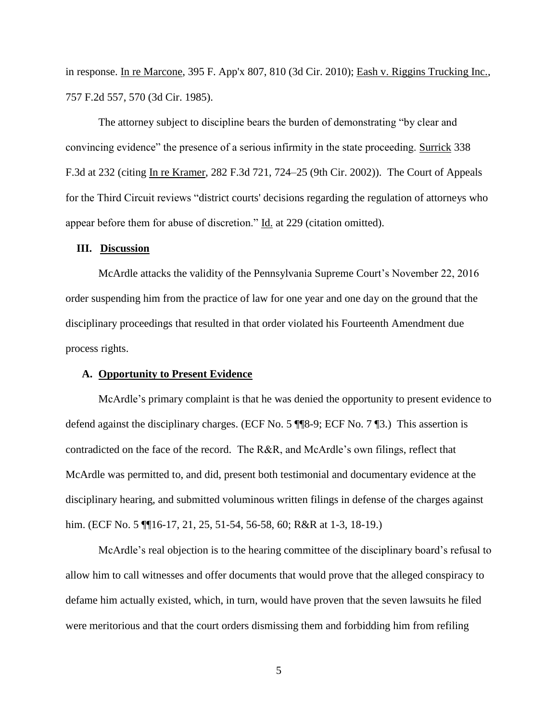in response. In re Marcone, 395 F. App'x 807, 810 (3d Cir. 2010); Eash v. Riggins Trucking Inc., 757 F.2d 557, 570 (3d Cir. 1985).

The attorney subject to discipline bears the burden of demonstrating "by clear and convincing evidence" the presence of a serious infirmity in the state proceeding. Surrick 338 F.3d at 232 (citing In re Kramer, 282 F.3d 721, 724–25 (9th Cir. 2002)). The Court of Appeals for the Third Circuit reviews "district courts' decisions regarding the regulation of attorneys who appear before them for abuse of discretion." Id. at 229 (citation omitted).

#### **III. Discussion**

 McArdle attacks the validity of the Pennsylvania Supreme Court's November 22, 2016 order suspending him from the practice of law for one year and one day on the ground that the disciplinary proceedings that resulted in that order violated his Fourteenth Amendment due process rights.

### **A. Opportunity to Present Evidence**

McArdle's primary complaint is that he was denied the opportunity to present evidence to defend against the disciplinary charges. (ECF No. 5 ¶¶8-9; ECF No. 7 ¶3.) This assertion is contradicted on the face of the record. The R&R, and McArdle's own filings, reflect that McArdle was permitted to, and did, present both testimonial and documentary evidence at the disciplinary hearing, and submitted voluminous written filings in defense of the charges against him. (ECF No. 5 \[\] 16-17, 21, 25, 51-54, 56-58, 60; R&R at 1-3, 18-19.)

McArdle's real objection is to the hearing committee of the disciplinary board's refusal to allow him to call witnesses and offer documents that would prove that the alleged conspiracy to defame him actually existed, which, in turn, would have proven that the seven lawsuits he filed were meritorious and that the court orders dismissing them and forbidding him from refiling

5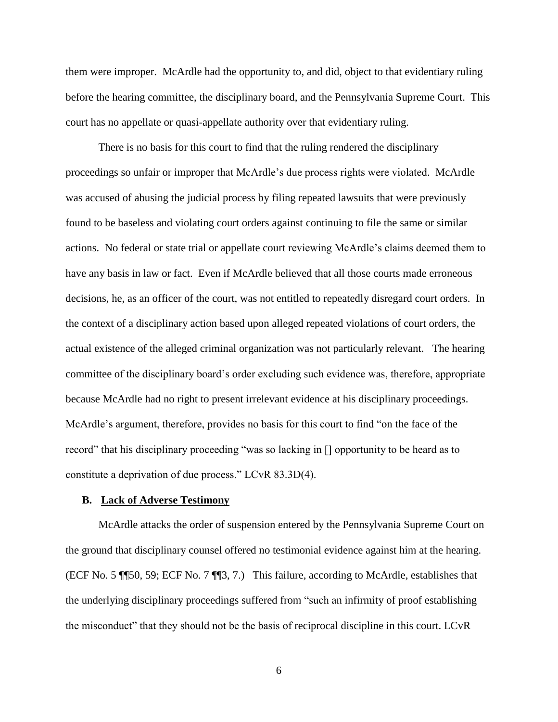them were improper. McArdle had the opportunity to, and did, object to that evidentiary ruling before the hearing committee, the disciplinary board, and the Pennsylvania Supreme Court. This court has no appellate or quasi-appellate authority over that evidentiary ruling.

There is no basis for this court to find that the ruling rendered the disciplinary proceedings so unfair or improper that McArdle's due process rights were violated. McArdle was accused of abusing the judicial process by filing repeated lawsuits that were previously found to be baseless and violating court orders against continuing to file the same or similar actions. No federal or state trial or appellate court reviewing McArdle's claims deemed them to have any basis in law or fact. Even if McArdle believed that all those courts made erroneous decisions, he, as an officer of the court, was not entitled to repeatedly disregard court orders. In the context of a disciplinary action based upon alleged repeated violations of court orders, the actual existence of the alleged criminal organization was not particularly relevant. The hearing committee of the disciplinary board's order excluding such evidence was, therefore, appropriate because McArdle had no right to present irrelevant evidence at his disciplinary proceedings. McArdle's argument, therefore, provides no basis for this court to find "on the face of the record" that his disciplinary proceeding "was so lacking in [] opportunity to be heard as to constitute a deprivation of due process." LCvR 83.3D(4).

### **B. Lack of Adverse Testimony**

McArdle attacks the order of suspension entered by the Pennsylvania Supreme Court on the ground that disciplinary counsel offered no testimonial evidence against him at the hearing. (ECF No. 5 ¶¶50, 59; ECF No. 7 ¶¶3, 7.) This failure, according to McArdle, establishes that the underlying disciplinary proceedings suffered from "such an infirmity of proof establishing the misconduct" that they should not be the basis of reciprocal discipline in this court. LCvR

6